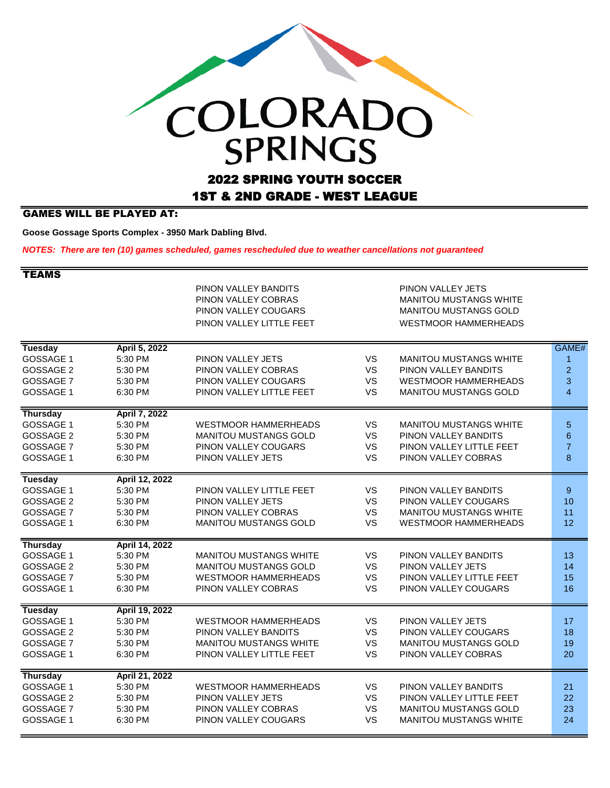## COLORADO 2022 SPRING YOUTH SOCCER

## 1ST & 2ND GRADE - WEST LEAGUE

## GAMES WILL BE PLAYED AT:

**Goose Gossage Sports Complex - 3950 Mark Dabling Blvd.** 

*NOTES: There are ten (10) games scheduled, games rescheduled due to weather cancellations not guaranteed*

| TEAMS                                                               |                                                            |                                                                                                                     |                                           |                                                                                                                   |                                            |
|---------------------------------------------------------------------|------------------------------------------------------------|---------------------------------------------------------------------------------------------------------------------|-------------------------------------------|-------------------------------------------------------------------------------------------------------------------|--------------------------------------------|
|                                                                     |                                                            | PINON VALLEY BANDITS<br>PINON VALLEY COBRAS<br>PINON VALLEY COUGARS<br>PINON VALLEY LITTLE FEET                     |                                           | PINON VALLEY JETS<br>MANITOU MUSTANGS WHITE<br><b>MANITOU MUSTANGS GOLD</b><br><b>WESTMOOR HAMMERHEADS</b>        |                                            |
| <b>Tuesday</b><br>GOSSAGE 1<br>GOSSAGE 2                            | April 5, 2022<br>5:30 PM<br>5:30 PM                        | PINON VALLEY JETS<br>PINON VALLEY COBRAS                                                                            | <b>VS</b><br><b>VS</b>                    | <b>MANITOU MUSTANGS WHITE</b><br>PINON VALLEY BANDITS                                                             | GAME#<br>1<br>$\overline{a}$               |
| GOSSAGE 7<br>GOSSAGE 1                                              | 5:30 PM<br>6:30 PM                                         | PINON VALLEY COUGARS<br>PINON VALLEY LITTLE FEET                                                                    | VS<br><b>VS</b>                           | <b>WESTMOOR HAMMERHEADS</b><br><b>MANITOU MUSTANGS GOLD</b>                                                       | 3<br>$\overline{4}$                        |
| <b>Thursday</b><br>GOSSAGE 1<br>GOSSAGE 2<br>GOSSAGE 7<br>GOSSAGE 1 | April 7, 2022<br>5:30 PM<br>5:30 PM<br>5:30 PM<br>6:30 PM  | <b>WESTMOOR HAMMERHEADS</b><br><b>MANITOU MUSTANGS GOLD</b><br>PINON VALLEY COUGARS<br>PINON VALLEY JETS            | VS<br>VS<br><b>VS</b><br><b>VS</b>        | MANITOU MUSTANGS WHITE<br>PINON VALLEY BANDITS<br>PINON VALLEY LITTLE FEET<br>PINON VALLEY COBRAS                 | $\overline{5}$<br>6<br>$\overline{7}$<br>8 |
| <b>Tuesday</b><br>GOSSAGE 1<br>GOSSAGE 2<br>GOSSAGE 7<br>GOSSAGE 1  | April 12, 2022<br>5:30 PM<br>5:30 PM<br>5:30 PM<br>6:30 PM | PINON VALLEY LITTLE FEET<br>PINON VALLEY JETS<br>PINON VALLEY COBRAS<br><b>MANITOU MUSTANGS GOLD</b>                | VS<br><b>VS</b><br><b>VS</b><br><b>VS</b> | PINON VALLEY BANDITS<br>PINON VALLEY COUGARS<br>MANITOU MUSTANGS WHITE<br><b>WESTMOOR HAMMERHEADS</b>             | 9<br>10<br>11<br>12                        |
| <b>Thursday</b><br>GOSSAGE 1<br>GOSSAGE 2<br>GOSSAGE 7<br>GOSSAGE 1 | April 14, 2022<br>5:30 PM<br>5:30 PM<br>5:30 PM<br>6:30 PM | <b>MANITOU MUSTANGS WHITE</b><br><b>MANITOU MUSTANGS GOLD</b><br><b>WESTMOOR HAMMERHEADS</b><br>PINON VALLEY COBRAS | VS.<br><b>VS</b><br>VS<br><b>VS</b>       | PINON VALLEY BANDITS<br>PINON VALLEY JETS<br>PINON VALLEY LITTLE FEET<br>PINON VALLEY COUGARS                     | 13<br>14<br>15<br>16                       |
| <b>Tuesday</b><br>GOSSAGE 1<br>GOSSAGE 2<br>GOSSAGE 7<br>GOSSAGE 1  | April 19, 2022<br>5:30 PM<br>5:30 PM<br>5:30 PM<br>6:30 PM | <b>WESTMOOR HAMMERHEADS</b><br>PINON VALLEY BANDITS<br><b>MANITOU MUSTANGS WHITE</b><br>PINON VALLEY LITTLE FEET    | VS<br>VS<br>VS<br>VS                      | PINON VALLEY JETS<br>PINON VALLEY COUGARS<br><b>MANITOU MUSTANGS GOLD</b><br>PINON VALLEY COBRAS                  | 17<br>18<br>19<br>20                       |
| <b>Thursday</b><br>GOSSAGE 1<br>GOSSAGE 2<br>GOSSAGE 7<br>GOSSAGE 1 | April 21, 2022<br>5:30 PM<br>5:30 PM<br>5:30 PM<br>6:30 PM | <b>WESTMOOR HAMMERHEADS</b><br>PINON VALLEY JETS<br>PINON VALLEY COBRAS<br>PINON VALLEY COUGARS                     | <b>VS</b><br><b>VS</b><br>VS<br>VS        | PINON VALLEY BANDITS<br>PINON VALLEY LITTLE FEET<br><b>MANITOU MUSTANGS GOLD</b><br><b>MANITOU MUSTANGS WHITE</b> | 21<br>22<br>23<br>24                       |